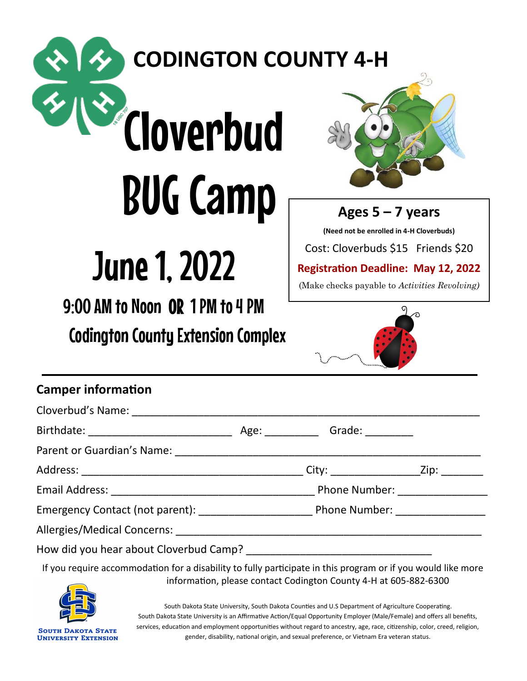### **CODINGTON COUNTY 4-H**

# Cloverbud BUG Camp



**Ages 5 – 7 years** 

**(Need not be enrolled in 4-H Cloverbuds)** Cost: Cloverbuds \$15 Friends \$20

**Registration Deadline: May 12, 2022**

(Make checks payable to *Activities Revolving)*

## June 1, 2022

9:00 AM to Noon OR 1 PM to 4 PM

Codington County Extension Complex



#### **Camper information**

|                                                                                                                                                                                                                                   |  | City: _____________________Zip: _________ |
|-----------------------------------------------------------------------------------------------------------------------------------------------------------------------------------------------------------------------------------|--|-------------------------------------------|
|                                                                                                                                                                                                                                   |  |                                           |
|                                                                                                                                                                                                                                   |  |                                           |
|                                                                                                                                                                                                                                   |  |                                           |
|                                                                                                                                                                                                                                   |  |                                           |
| $\mathbf{r}$ , and the contract of the contract of the contract of the contract of the contract of the contract of the contract of the contract of the contract of the contract of the contract of the contract of the contract o |  |                                           |

If you require accommodation for a disability to fully participate in this program or if you would like more information, please contact Codington County 4-H at 605-882-6300



South Dakota State University, South Dakota Counties and U.S Department of Agriculture Cooperating. South Dakota State University is an Affirmative Action/Equal Opportunity Employer (Male/Female) and offers all benefits, services, education and employment opportunities without regard to ancestry, age, race, citizenship, color, creed, religion, gender, disability, national origin, and sexual preference, or Vietnam Era veteran status.

**SOUTH DAKOTA STATE UNIVERSITY EXTENSION**